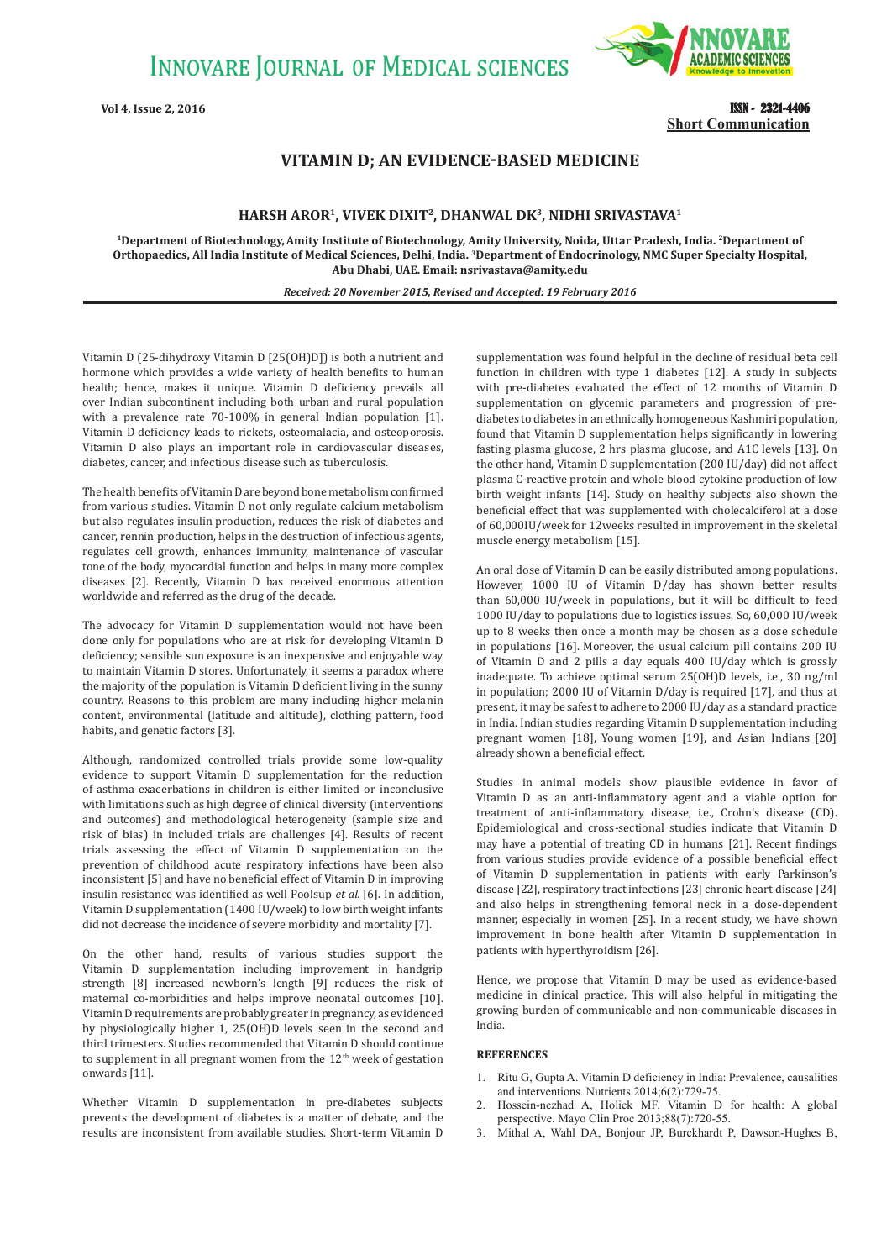**INNOVARE JOURNAL OF MEDICAL SCIENCES** 

**Vol 4, Issue 2, 2016** 



ISSN - 2321-4406 **Short Communication**

## **VITAMIN D; AN EVIDENCE-BASED MEDICINE**

## **HARSH AROR1, VIVEK DIXIT2, DHANWAL DK3, NIDHI SRIVASTAVA1**

**1Department of Biotechnology,Amity Institute of Biotechnology, Amity University, Noida, Uttar Pradesh, India. 2Department of Orthopaedics, All India Institute of Medical Sciences, Delhi, India. 3Department of Endocrinology, NMC Super Specialty Hospital, Abu Dhabi, UAE. Email: nsrivastava@amity.edu**

*Received: 20 November 2015, Revised and Accepted: 19 February 2016*

Vitamin D (25-dihydroxy Vitamin D [25(OH)D]) is both a nutrient and hormone which provides a wide variety of health benefits to human health; hence, makes it unique. Vitamin D deficiency prevails all over Indian subcontinent including both urban and rural population with a prevalence rate 70-100% in general Indian population [1]. Vitamin D deficiency leads to rickets, osteomalacia, and osteoporosis. Vitamin D also plays an important role in cardiovascular diseases, diabetes, cancer, and infectious disease such as tuberculosis.

The health benefits of Vitamin D are beyond bone metabolism confirmed from various studies. Vitamin D not only regulate calcium metabolism but also regulates insulin production, reduces the risk of diabetes and cancer, rennin production, helps in the destruction of infectious agents, regulates cell growth, enhances immunity, maintenance of vascular tone of the body, myocardial function and helps in many more complex diseases [2]. Recently, Vitamin D has received enormous attention worldwide and referred as the drug of the decade.

The advocacy for Vitamin D supplementation would not have been done only for populations who are at risk for developing Vitamin D deficiency; sensible sun exposure is an inexpensive and enjoyable way to maintain Vitamin D stores. Unfortunately, it seems a paradox where the majority of the population is Vitamin D deficient living in the sunny country. Reasons to this problem are many including higher melanin content, environmental (latitude and altitude), clothing pattern, food habits, and genetic factors [3].

Although, randomized controlled trials provide some low-quality evidence to support Vitamin D supplementation for the reduction of asthma exacerbations in children is either limited or inconclusive with limitations such as high degree of clinical diversity (interventions and outcomes) and methodological heterogeneity (sample size and risk of bias) in included trials are challenges [4]. Results of recent trials assessing the effect of Vitamin D supplementation on the prevention of childhood acute respiratory infections have been also inconsistent [5] and have no beneficial effect of Vitamin D in improving insulin resistance was identified as well Poolsup *et al.* [6]. In addition, Vitamin D supplementation (1400 IU/week) to low birth weight infants did not decrease the incidence of severe morbidity and mortality [7].

On the other hand, results of various studies support the Vitamin D supplementation including improvement in handgrip strength [8] increased newborn's length [9] reduces the risk of maternal co-morbidities and helps improve neonatal outcomes [10]. Vitamin D requirements are probably greater in pregnancy, as evidenced by physiologically higher 1, 25(OH)D levels seen in the second and third trimesters. Studies recommended that Vitamin D should continue to supplement in all pregnant women from the  $12<sup>th</sup>$  week of gestation onwards [11].

Whether Vitamin D supplementation in pre-diabetes subjects prevents the development of diabetes is a matter of debate, and the results are inconsistent from available studies. Short-term Vitamin D

supplementation was found helpful in the decline of residual beta cell function in children with type 1 diabetes [12]. A study in subjects with pre-diabetes evaluated the effect of 12 months of Vitamin D supplementation on glycemic parameters and progression of prediabetes to diabetes in an ethnically homogeneous Kashmiri population, found that Vitamin D supplementation helps significantly in lowering fasting plasma glucose, 2 hrs plasma glucose, and A1C levels [13]. On the other hand, Vitamin D supplementation (200 IU/day) did not affect plasma C-reactive protein and whole blood cytokine production of low birth weight infants [14]. Study on healthy subjects also shown the beneficial effect that was supplemented with cholecalciferol at a dose of 60,000IU/week for 12weeks resulted in improvement in the skeletal muscle energy metabolism [15].

An oral dose of Vitamin D can be easily distributed among populations. However, 1000 IU of Vitamin D/day has shown better results than 60,000 IU/week in populations, but it will be difficult to feed 1000 IU/day to populations due to logistics issues. So, 60,000 IU/week up to 8 weeks then once a month may be chosen as a dose schedule in populations [16]. Moreover, the usual calcium pill contains 200 IU of Vitamin D and 2 pills a day equals 400 IU/day which is grossly inadequate. To achieve optimal serum 25(OH)D levels, i.e., 30 ng/ml in population; 2000 IU of Vitamin D/day is required [17], and thus at present, it may be safest to adhere to 2000 IU/day as a standard practice in India. Indian studies regarding Vitamin D supplementation including pregnant women [18], Young women [19], and Asian Indians [20] already shown a beneficial effect.

Studies in animal models show plausible evidence in favor of Vitamin D as an anti-inflammatory agent and a viable option for treatment of anti-inflammatory disease, i.e., Crohn's disease (CD). Epidemiological and cross-sectional studies indicate that Vitamin D may have a potential of treating CD in humans [21]. Recent findings from various studies provide evidence of a possible beneficial effect of Vitamin D supplementation in patients with early Parkinson's disease [22], respiratory tract infections [23] chronic heart disease [24] and also helps in strengthening femoral neck in a dose-dependent manner, especially in women [25]. In a recent study, we have shown improvement in bone health after Vitamin D supplementation in patients with hyperthyroidism [26].

Hence, we propose that Vitamin D may be used as evidence-based medicine in clinical practice. This will also helpful in mitigating the growing burden of communicable and non-communicable diseases in India.

## **REFERENCES**

- 1. Ritu G, Gupta A. Vitamin D deficiency in India: Prevalence, causalities and interventions. Nutrients 2014;6(2):729-75.
- 2. Hossein-nezhad A, Holick MF. Vitamin D for health: A global perspective. Mayo Clin Proc 2013;88(7):720-55.
- 3. Mithal A, Wahl DA, Bonjour JP, Burckhardt P, Dawson-Hughes B,